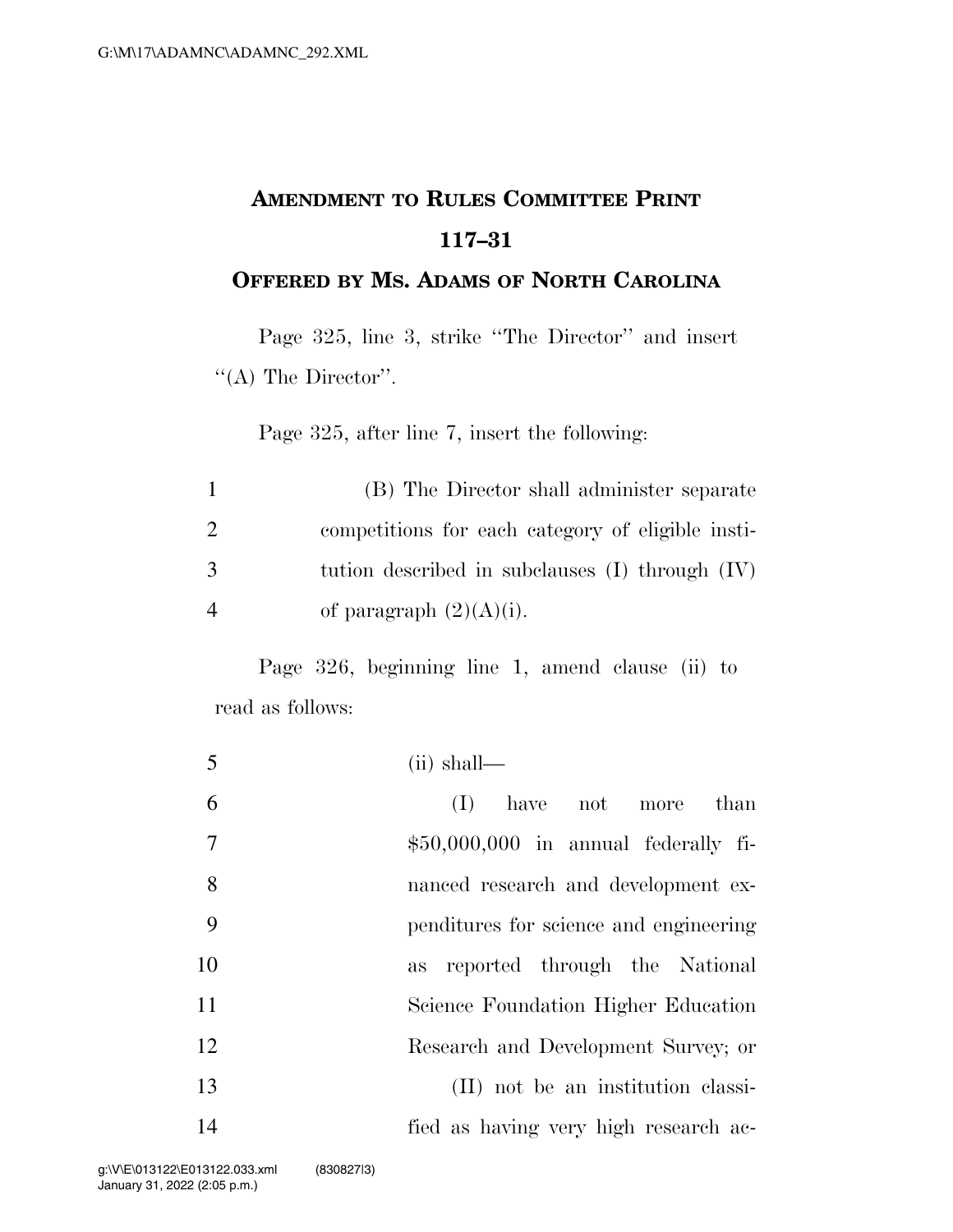## **AMENDMENT TO RULES COMMITTEE PRINT 117–31**

## **OFFERED BY MS. ADAMS OF NORTH CAROLINA**

Page 325, line 3, strike ''The Director'' and insert  $\lq\lq$ (A) The Director''.

Page 325, after line 7, insert the following:

|                | (B) The Director shall administer separate          |
|----------------|-----------------------------------------------------|
| 2              | competitions for each category of eligible insti-   |
| 3              | tution described in subclauses $(I)$ through $(IV)$ |
| $\overline{4}$ | of paragraph $(2)(A)(i)$ .                          |

Page 326, beginning line 1, amend clause (ii) to read as follows:

| 5              | $(ii)$ shall—                          |
|----------------|----------------------------------------|
| 6              | have not more<br>than<br>(I)           |
| $\overline{7}$ | $$50,000,000$ in annual federally fi-  |
| 8              | nanced research and development ex-    |
| 9              | penditures for science and engineering |
| 10             | as reported through the National       |
| 11             | Science Foundation Higher Education    |
| 12             | Research and Development Survey; or    |
| 13             | (II) not be an institution classi-     |
| 14             | fied as having very high research ac-  |